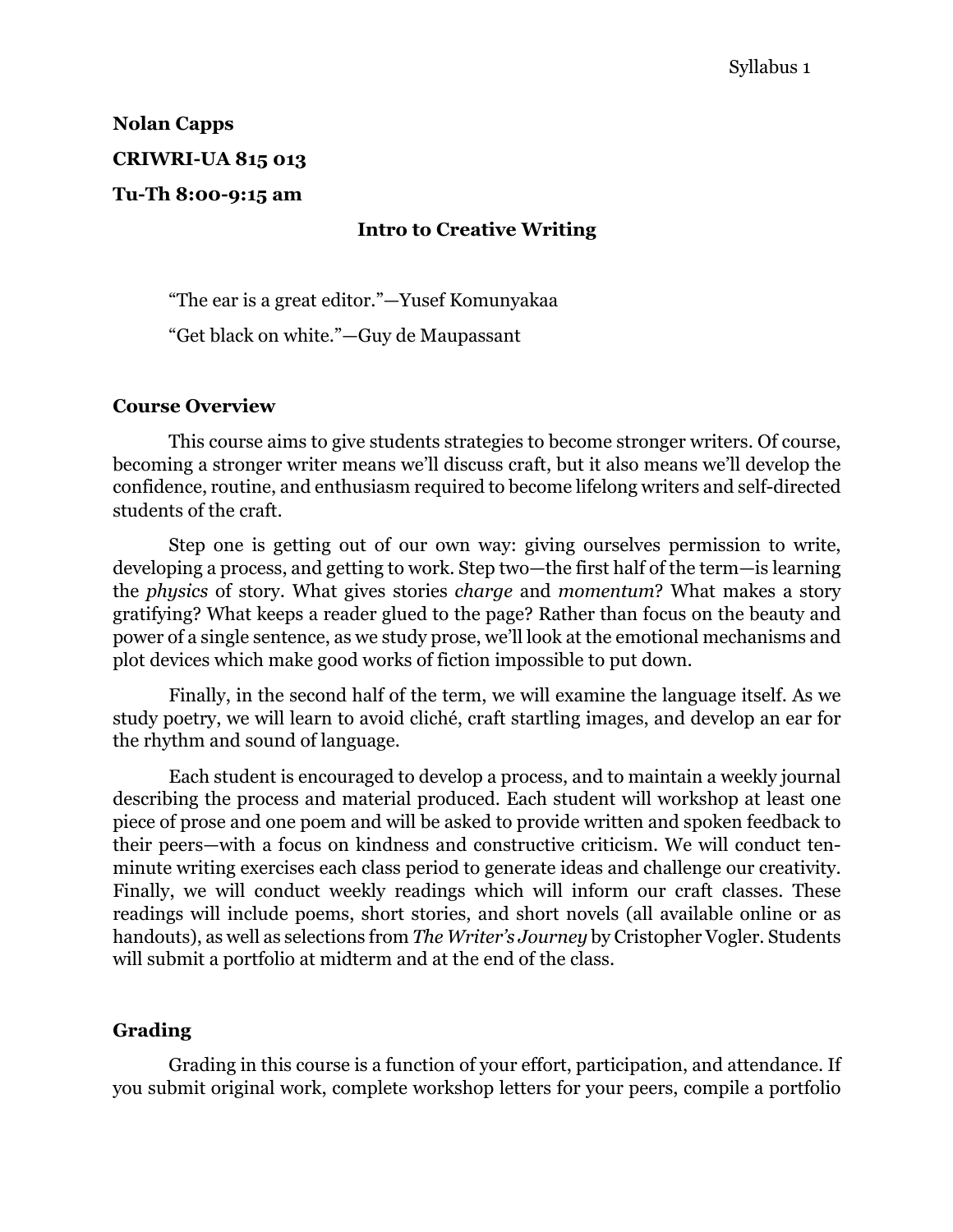# **Nolan Capps CRIWRI-UA 815 013**

**Tu-Th 8:00-9:15 am**

#### **Intro to Creative Writing**

"The ear is a great editor."—Yusef Komunyakaa

"Get black on white."—Guy de Maupassant

#### **Course Overview**

This course aims to give students strategies to become stronger writers. Of course, becoming a stronger writer means we'll discuss craft, but it also means we'll develop the confidence, routine, and enthusiasm required to become lifelong writers and self-directed students of the craft.

Step one is getting out of our own way: giving ourselves permission to write, developing a process, and getting to work. Step two—the first half of the term—is learning the *physics* of story. What gives stories *charge* and *momentum*? What makes a story gratifying? What keeps a reader glued to the page? Rather than focus on the beauty and power of a single sentence, as we study prose, we'll look at the emotional mechanisms and plot devices which make good works of fiction impossible to put down.

Finally, in the second half of the term, we will examine the language itself. As we study poetry, we will learn to avoid cliché, craft startling images, and develop an ear for the rhythm and sound of language.

Each student is encouraged to develop a process, and to maintain a weekly journal describing the process and material produced. Each student will workshop at least one piece of prose and one poem and will be asked to provide written and spoken feedback to their peers—with a focus on kindness and constructive criticism. We will conduct tenminute writing exercises each class period to generate ideas and challenge our creativity. Finally, we will conduct weekly readings which will inform our craft classes. These readings will include poems, short stories, and short novels (all available online or as handouts), as well as selections from *The Writer's Journey* by Cristopher Vogler. Students will submit a portfolio at midterm and at the end of the class.

#### **Grading**

Grading in this course is a function of your effort, participation, and attendance. If you submit original work, complete workshop letters for your peers, compile a portfolio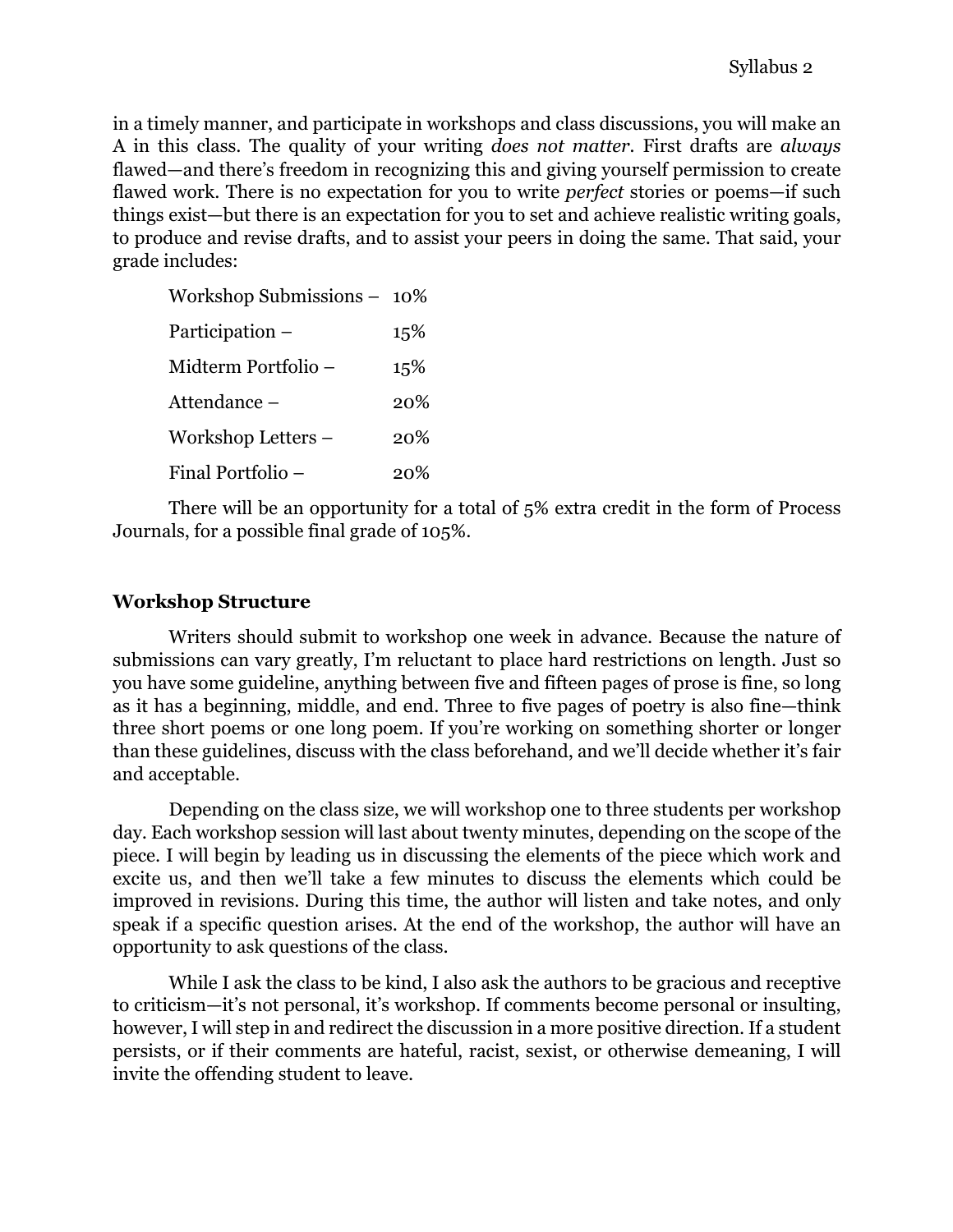in a timely manner, and participate in workshops and class discussions, you will make an A in this class. The quality of your writing *does not matter.* First drafts are *always*  flawed—and there's freedom in recognizing this and giving yourself permission to create flawed work. There is no expectation for you to write *perfect* stories or poems—if such things exist—but there is an expectation for you to set and achieve realistic writing goals, to produce and revise drafts, and to assist your peers in doing the same. That said, your grade includes:

| Workshop Submissions - 10% |     |
|----------------------------|-----|
| Participation –            | 15% |
| Midterm Portfolio –        | 15% |
| Attendance –               | 20% |
| Workshop Letters –         | 20% |
| Final Portfolio –          | 20% |

There will be an opportunity for a total of 5% extra credit in the form of Process Journals, for a possible final grade of 105%.

#### **Workshop Structure**

Writers should submit to workshop one week in advance. Because the nature of submissions can vary greatly, I'm reluctant to place hard restrictions on length. Just so you have some guideline, anything between five and fifteen pages of prose is fine, so long as it has a beginning, middle, and end. Three to five pages of poetry is also fine—think three short poems or one long poem. If you're working on something shorter or longer than these guidelines, discuss with the class beforehand, and we'll decide whether it's fair and acceptable.

Depending on the class size, we will workshop one to three students per workshop day. Each workshop session will last about twenty minutes, depending on the scope of the piece. I will begin by leading us in discussing the elements of the piece which work and excite us, and then we'll take a few minutes to discuss the elements which could be improved in revisions. During this time, the author will listen and take notes, and only speak if a specific question arises. At the end of the workshop, the author will have an opportunity to ask questions of the class.

While I ask the class to be kind, I also ask the authors to be gracious and receptive to criticism—it's not personal, it's workshop. If comments become personal or insulting, however, I will step in and redirect the discussion in a more positive direction. If a student persists, or if their comments are hateful, racist, sexist, or otherwise demeaning, I will invite the offending student to leave.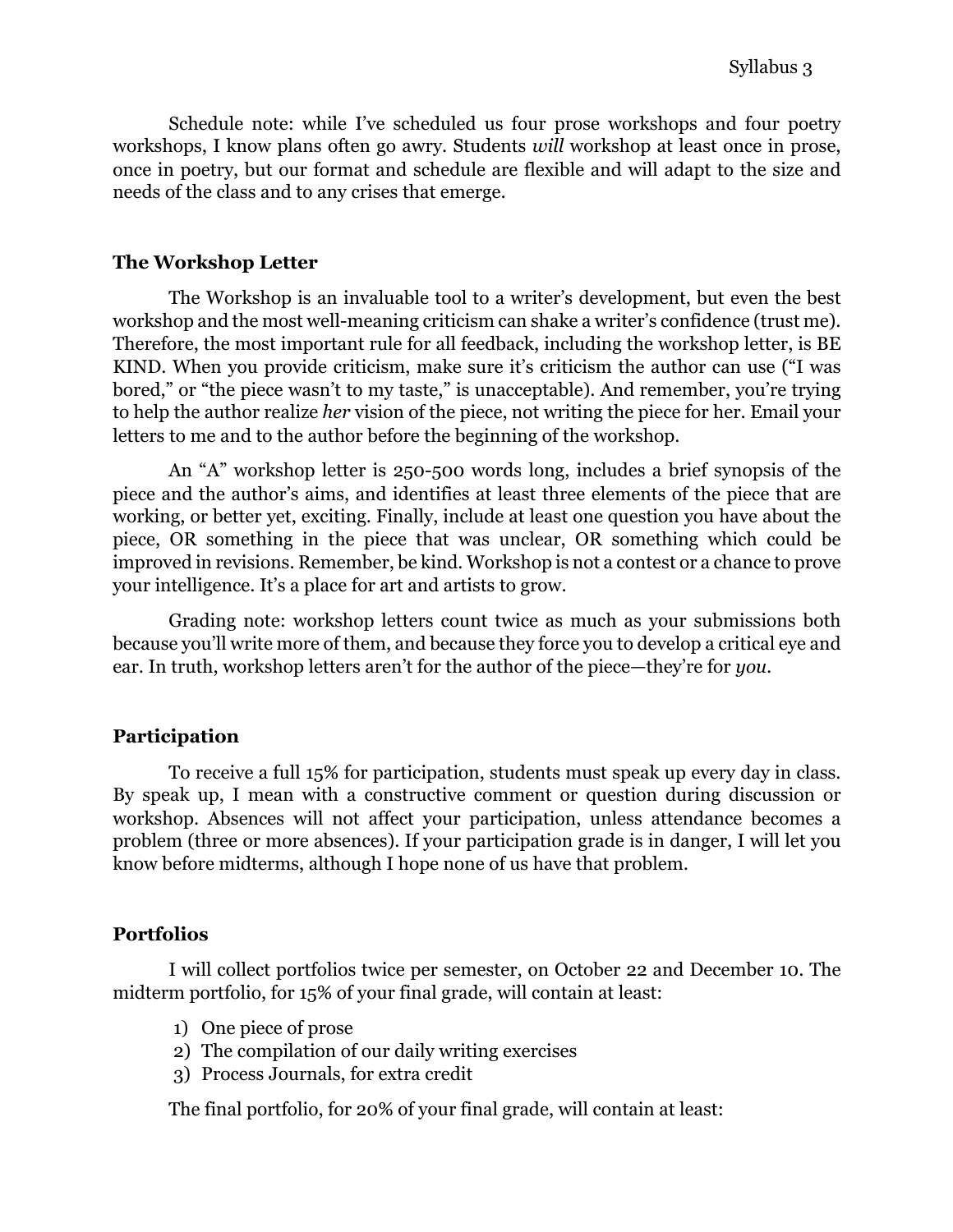Schedule note: while I've scheduled us four prose workshops and four poetry workshops, I know plans often go awry. Students *will* workshop at least once in prose, once in poetry, but our format and schedule are flexible and will adapt to the size and needs of the class and to any crises that emerge.

#### **The Workshop Letter**

The Workshop is an invaluable tool to a writer's development, but even the best workshop and the most well-meaning criticism can shake a writer's confidence (trust me). Therefore, the most important rule for all feedback, including the workshop letter, is BE KIND. When you provide criticism, make sure it's criticism the author can use ("I was bored," or "the piece wasn't to my taste," is unacceptable). And remember, you're trying to help the author realize *her* vision of the piece, not writing the piece for her. Email your letters to me and to the author before the beginning of the workshop.

An "A" workshop letter is 250-500 words long, includes a brief synopsis of the piece and the author's aims, and identifies at least three elements of the piece that are working, or better yet, exciting. Finally, include at least one question you have about the piece, OR something in the piece that was unclear, OR something which could be improved in revisions. Remember, be kind. Workshop is not a contest or a chance to prove your intelligence. It's a place for art and artists to grow.

Grading note: workshop letters count twice as much as your submissions both because you'll write more of them, and because they force you to develop a critical eye and ear. In truth, workshop letters aren't for the author of the piece—they're for *you.*

#### **Participation**

To receive a full 15% for participation, students must speak up every day in class. By speak up, I mean with a constructive comment or question during discussion or workshop. Absences will not affect your participation, unless attendance becomes a problem (three or more absences). If your participation grade is in danger, I will let you know before midterms, although I hope none of us have that problem.

#### **Portfolios**

I will collect portfolios twice per semester, on October 22 and December 10. The midterm portfolio, for 15% of your final grade, will contain at least:

- 1) One piece of prose
- 2) The compilation of our daily writing exercises
- 3) Process Journals, for extra credit

The final portfolio, for 20% of your final grade, will contain at least: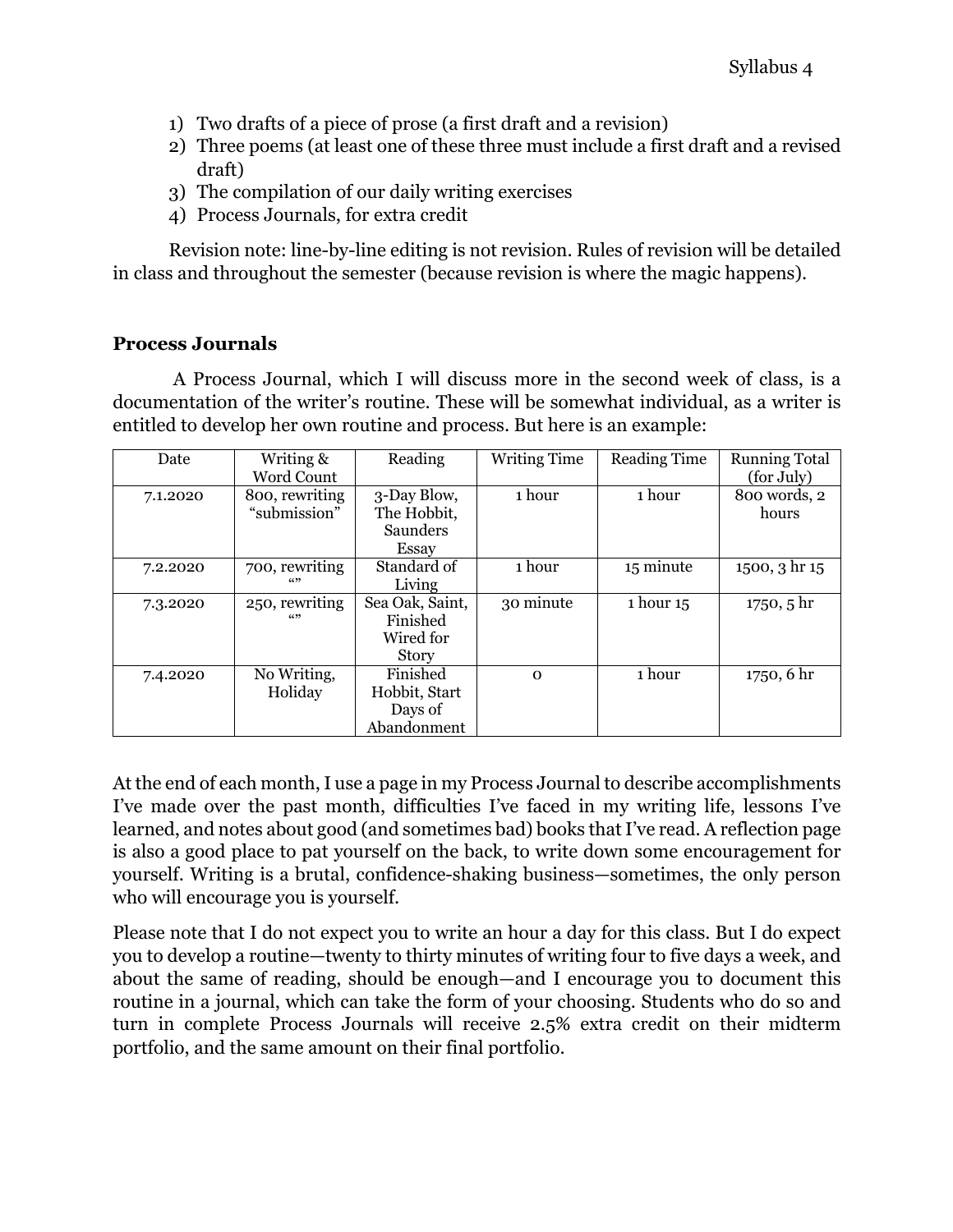- 1) Two drafts of a piece of prose (a first draft and a revision)
- 2) Three poems (at least one of these three must include a first draft and a revised draft)
- 3) The compilation of our daily writing exercises
- 4) Process Journals, for extra credit

Revision note: line-by-line editing is not revision. Rules of revision will be detailed in class and throughout the semester (because revision is where the magic happens).

#### **Process Journals**

A Process Journal, which I will discuss more in the second week of class, is a documentation of the writer's routine. These will be somewhat individual, as a writer is entitled to develop her own routine and process. But here is an example:

| Date     | Writing &      | Reading         | <b>Writing Time</b> | <b>Reading Time</b> | <b>Running Total</b> |
|----------|----------------|-----------------|---------------------|---------------------|----------------------|
|          | Word Count     |                 |                     |                     | (for July)           |
| 7.1.2020 | 800, rewriting | 3-Day Blow,     | 1 hour              | 1 hour              | 800 words, 2         |
|          | "submission"   | The Hobbit,     |                     |                     | hours                |
|          |                | Saunders        |                     |                     |                      |
|          |                | Essay           |                     |                     |                      |
| 7.2.2020 | 700, rewriting | Standard of     | 1 hour              | 15 minute           | 1500, 3 hr 15        |
|          | (699           | Living          |                     |                     |                      |
| 7.3.2020 | 250, rewriting | Sea Oak, Saint, | 30 minute           | 1 hour 15           | 1750, 5 hr           |
|          | (6)            | Finished        |                     |                     |                      |
|          |                | Wired for       |                     |                     |                      |
|          |                | Story           |                     |                     |                      |
| 7.4.2020 | No Writing,    | Finished        | $\Omega$            | 1 hour              | 1750, 6 hr           |
|          | Holiday        | Hobbit, Start   |                     |                     |                      |
|          |                | Days of         |                     |                     |                      |
|          |                | Abandonment     |                     |                     |                      |

At the end of each month, I use a page in my Process Journal to describe accomplishments I've made over the past month, difficulties I've faced in my writing life, lessons I've learned, and notes about good (and sometimes bad) books that I've read. A reflection page is also a good place to pat yourself on the back, to write down some encouragement for yourself. Writing is a brutal, confidence-shaking business—sometimes, the only person who will encourage you is yourself.

Please note that I do not expect you to write an hour a day for this class. But I do expect you to develop a routine—twenty to thirty minutes of writing four to five days a week, and about the same of reading, should be enough—and I encourage you to document this routine in a journal, which can take the form of your choosing. Students who do so and turn in complete Process Journals will receive 2.5% extra credit on their midterm portfolio, and the same amount on their final portfolio.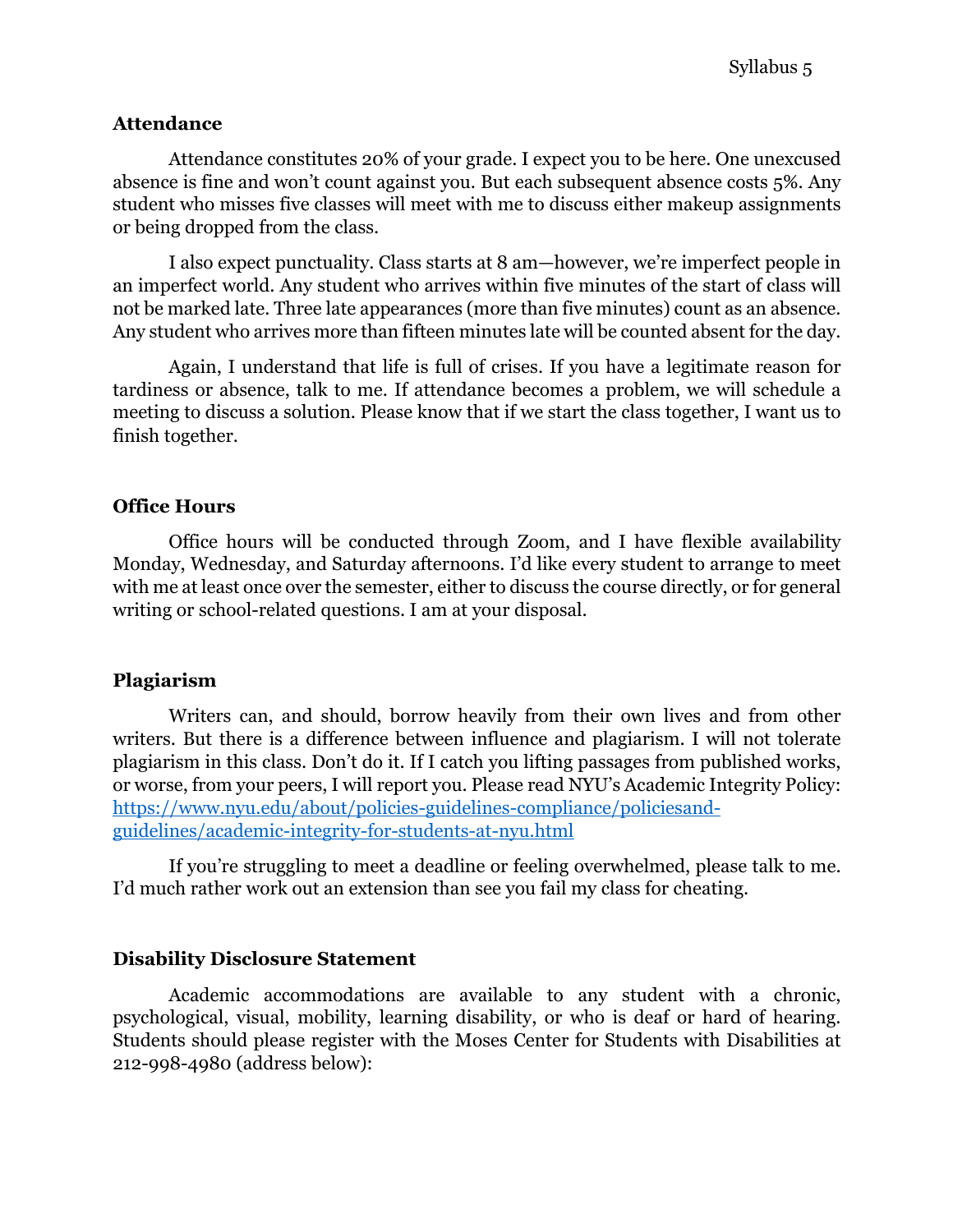#### **Attendance**

Attendance constitutes 20% of your grade. I expect you to be here. One unexcused absence is fine and won't count against you. But each subsequent absence costs 5%. Any student who misses five classes will meet with me to discuss either makeup assignments or being dropped from the class.

I also expect punctuality. Class starts at 8 am—however, we're imperfect people in an imperfect world. Any student who arrives within five minutes of the start of class will not be marked late. Three late appearances (more than five minutes) count as an absence. Any student who arrives more than fifteen minutes late will be counted absent for the day.

Again, I understand that life is full of crises. If you have a legitimate reason for tardiness or absence, talk to me. If attendance becomes a problem, we will schedule a meeting to discuss a solution. Please know that if we start the class together, I want us to finish together.

#### **Office Hours**

Office hours will be conducted through Zoom, and I have flexible availability Monday, Wednesday, and Saturday afternoons. I'd like every student to arrange to meet with me at least once over the semester, either to discuss the course directly, or for general writing or school-related questions. I am at your disposal.

#### **Plagiarism**

Writers can, and should, borrow heavily from their own lives and from other writers. But there is a difference between influence and plagiarism. I will not tolerate plagiarism in this class. Don't do it. If I catch you lifting passages from published works, or worse, from your peers, I will report you. Please read NYU's Academic Integrity Policy: https://www.nyu.edu/about/policies-guidelines-compliance/policiesandguidelines/academic-integrity-for-students-at-nyu.html

If you're struggling to meet a deadline or feeling overwhelmed, please talk to me. I'd much rather work out an extension than see you fail my class for cheating.

#### **Disability Disclosure Statement**

Academic accommodations are available to any student with a chronic, psychological, visual, mobility, learning disability, or who is deaf or hard of hearing. Students should please register with the Moses Center for Students with Disabilities at 212-998-4980 (address below):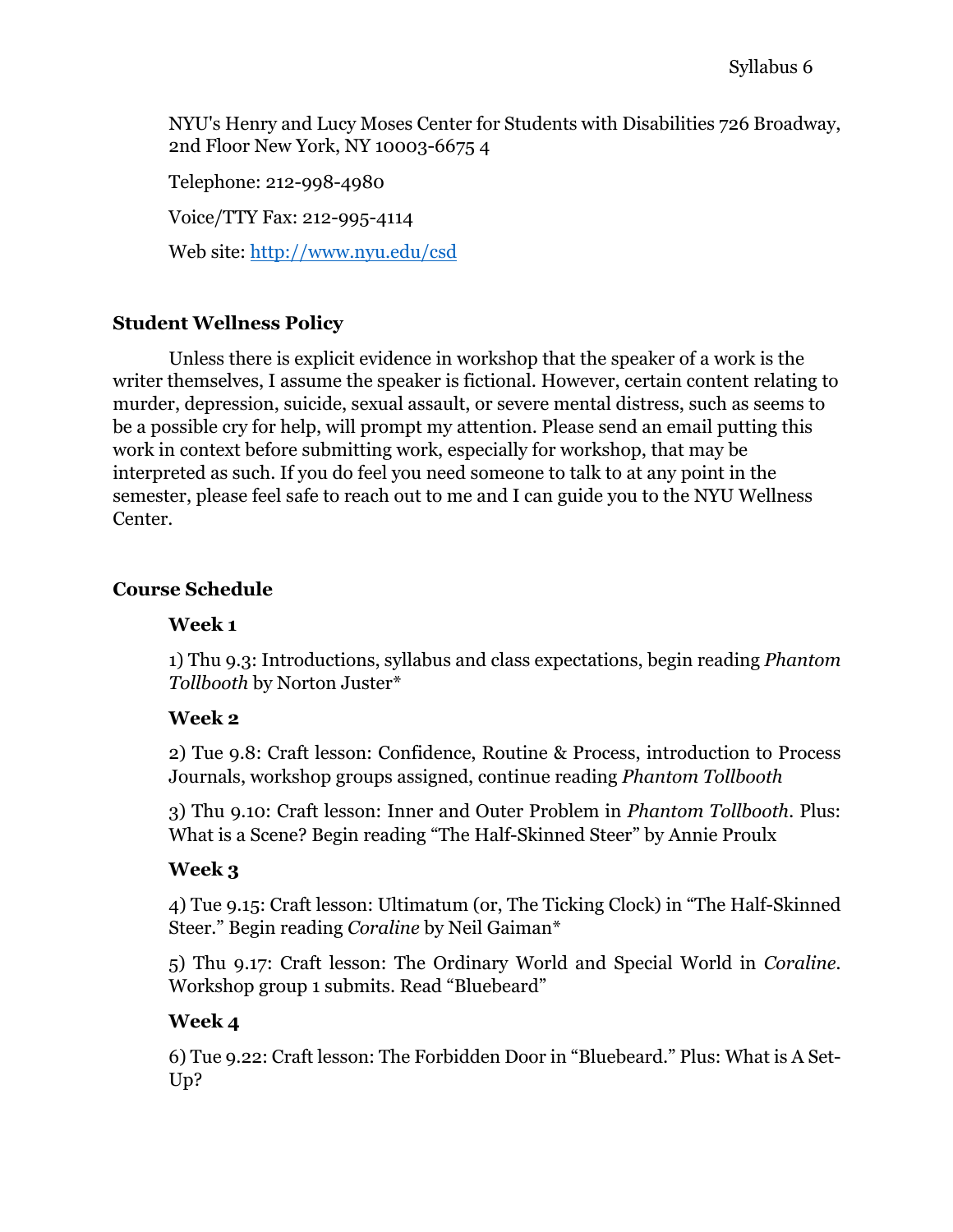NYU's Henry and Lucy Moses Center for Students with Disabilities 726 Broadway, 2nd Floor New York, NY 10003-6675 4

Telephone: 212-998-4980

Voice/TTY Fax: 212-995-4114

Web site: http://www.nyu.edu/csd

# **Student Wellness Policy**

Unless there is explicit evidence in workshop that the speaker of a work is the writer themselves, I assume the speaker is fictional. However, certain content relating to murder, depression, suicide, sexual assault, or severe mental distress, such as seems to be a possible cry for help, will prompt my attention. Please send an email putting this work in context before submitting work, especially for workshop, that may be interpreted as such. If you do feel you need someone to talk to at any point in the semester, please feel safe to reach out to me and I can guide you to the NYU Wellness Center.

## **Course Schedule**

#### **Week 1**

1) Thu 9.3: Introductions, syllabus and class expectations, begin reading *Phantom Tollbooth* by Norton Juster\*

## **Week 2**

2) Tue 9.8: Craft lesson: Confidence, Routine & Process, introduction to Process Journals, workshop groups assigned, continue reading *Phantom Tollbooth*

3) Thu 9.10: Craft lesson: Inner and Outer Problem in *Phantom Tollbooth.* Plus: What is a Scene? Begin reading "The Half-Skinned Steer" by Annie Proulx

## **Week 3**

4) Tue 9.15: Craft lesson: Ultimatum (or, The Ticking Clock) in "The Half-Skinned Steer." Begin reading *Coraline* by Neil Gaiman\*

5) Thu 9.17: Craft lesson: The Ordinary World and Special World in *Coraline.* Workshop group 1 submits. Read "Bluebeard"

## **Week 4**

6) Tue 9.22: Craft lesson: The Forbidden Door in "Bluebeard." Plus: What is A Set-Up?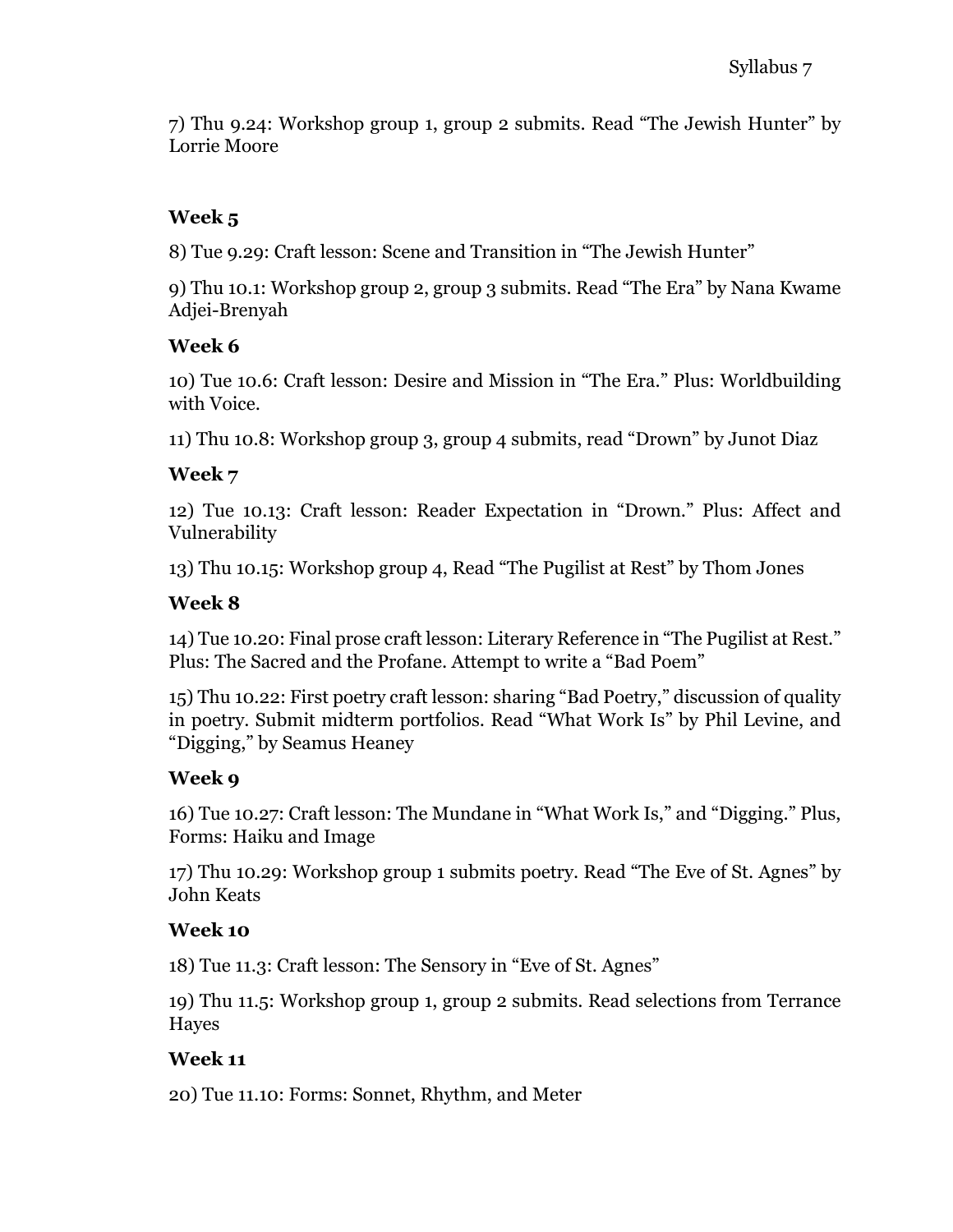7) Thu 9.24: Workshop group 1, group 2 submits. Read "The Jewish Hunter" by Lorrie Moore

# **Week 5**

8) Tue 9.29: Craft lesson: Scene and Transition in "The Jewish Hunter"

9) Thu 10.1: Workshop group 2, group 3 submits. Read "The Era" by Nana Kwame Adjei-Brenyah

#### **Week 6**

10) Tue 10.6: Craft lesson: Desire and Mission in "The Era." Plus: Worldbuilding with Voice.

11) Thu 10.8: Workshop group 3, group 4 submits, read "Drown" by Junot Diaz

## **Week 7**

12) Tue 10.13: Craft lesson: Reader Expectation in "Drown." Plus: Affect and Vulnerability

13) Thu 10.15: Workshop group 4, Read "The Pugilist at Rest" by Thom Jones

## **Week 8**

14) Tue 10.20: Final prose craft lesson: Literary Reference in "The Pugilist at Rest." Plus: The Sacred and the Profane. Attempt to write a "Bad Poem"

15) Thu 10.22: First poetry craft lesson: sharing "Bad Poetry," discussion of quality in poetry. Submit midterm portfolios. Read "What Work Is" by Phil Levine, and "Digging," by Seamus Heaney

## **Week 9**

16) Tue 10.27: Craft lesson: The Mundane in "What Work Is," and "Digging." Plus, Forms: Haiku and Image

17) Thu 10.29: Workshop group 1 submits poetry. Read "The Eve of St. Agnes" by John Keats

## **Week 10**

18) Tue 11.3: Craft lesson: The Sensory in "Eve of St. Agnes"

19) Thu 11.5: Workshop group 1, group 2 submits. Read selections from Terrance Hayes

## **Week 11**

20) Tue 11.10: Forms: Sonnet, Rhythm, and Meter